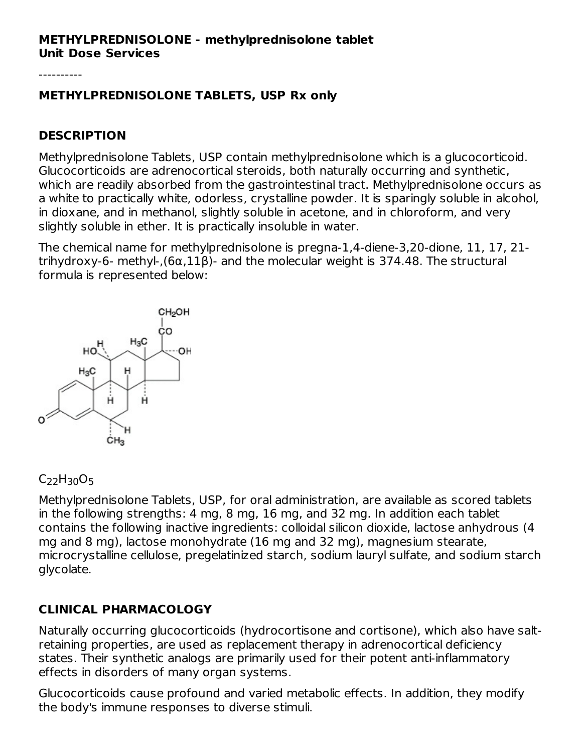----------

#### **METHYLPREDNISOLONE TABLETS, USP Rx only**

### **DESCRIPTION**

Methylprednisolone Tablets, USP contain methylprednisolone which is a glucocorticoid. Glucocorticoids are adrenocortical steroids, both naturally occurring and synthetic, which are readily absorbed from the gastrointestinal tract. Methylprednisolone occurs as a white to practically white, odorless, crystalline powder. It is sparingly soluble in alcohol, in dioxane, and in methanol, slightly soluble in acetone, and in chloroform, and very slightly soluble in ether. It is practically insoluble in water.

The chemical name for methylprednisolone is pregna-1,4-diene-3,20-dione, 11, 17, 21 trihydroxy-6- methyl-,(6α,11β)- and the molecular weight is 374.48. The structural formula is represented below:



# $C_{22}H_{30}O_{5}$

Methylprednisolone Tablets, USP, for oral administration, are available as scored tablets in the following strengths: 4 mg, 8 mg, 16 mg, and 32 mg. In addition each tablet contains the following inactive ingredients: colloidal silicon dioxide, lactose anhydrous (4 mg and 8 mg), lactose monohydrate (16 mg and 32 mg), magnesium stearate, microcrystalline cellulose, pregelatinized starch, sodium lauryl sulfate, and sodium starch glycolate.

# **CLINICAL PHARMACOLOGY**

Naturally occurring glucocorticoids (hydrocortisone and cortisone), which also have saltretaining properties, are used as replacement therapy in adrenocortical deficiency states. Their synthetic analogs are primarily used for their potent anti-inflammatory effects in disorders of many organ systems.

Glucocorticoids cause profound and varied metabolic effects. In addition, they modify the body's immune responses to diverse stimuli.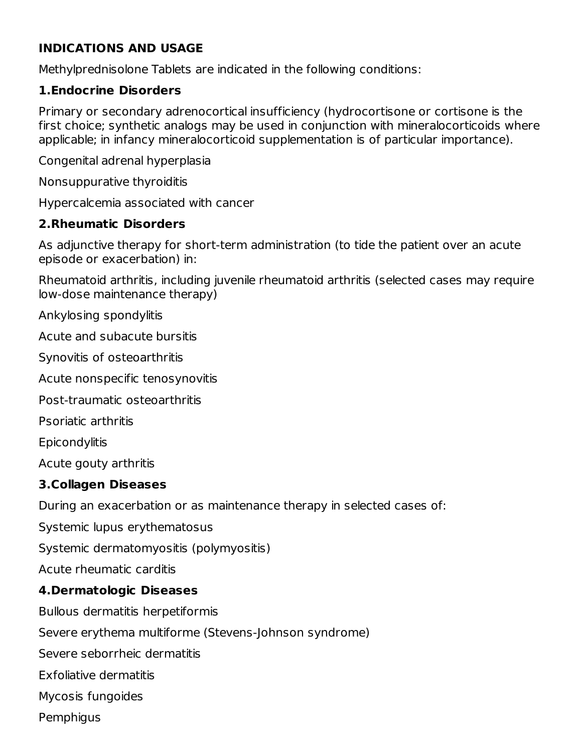### **INDICATIONS AND USAGE**

Methylprednisolone Tablets are indicated in the following conditions:

#### **1.Endocrine Disorders**

Primary or secondary adrenocortical insufficiency (hydrocortisone or cortisone is the first choice; synthetic analogs may be used in conjunction with mineralocorticoids where applicable; in infancy mineralocorticoid supplementation is of particular importance).

Congenital adrenal hyperplasia

Nonsuppurative thyroiditis

Hypercalcemia associated with cancer

#### **2.Rheumatic Disorders**

As adjunctive therapy for short-term administration (to tide the patient over an acute episode or exacerbation) in:

Rheumatoid arthritis, including juvenile rheumatoid arthritis (selected cases may require low-dose maintenance therapy)

Ankylosing spondylitis

Acute and subacute bursitis

Synovitis of osteoarthritis

Acute nonspecific tenosynovitis

Post-traumatic osteoarthritis

Psoriatic arthritis

**Epicondylitis** 

Acute gouty arthritis

#### **3.Collagen Diseases**

During an exacerbation or as maintenance therapy in selected cases of:

Systemic lupus erythematosus

Systemic dermatomyositis (polymyositis)

Acute rheumatic carditis

### **4.Dermatologic Diseases**

Bullous dermatitis herpetiformis

Severe erythema multiforme (Stevens-Johnson syndrome)

Severe seborrheic dermatitis

Exfoliative dermatitis

Mycosis fungoides

Pemphigus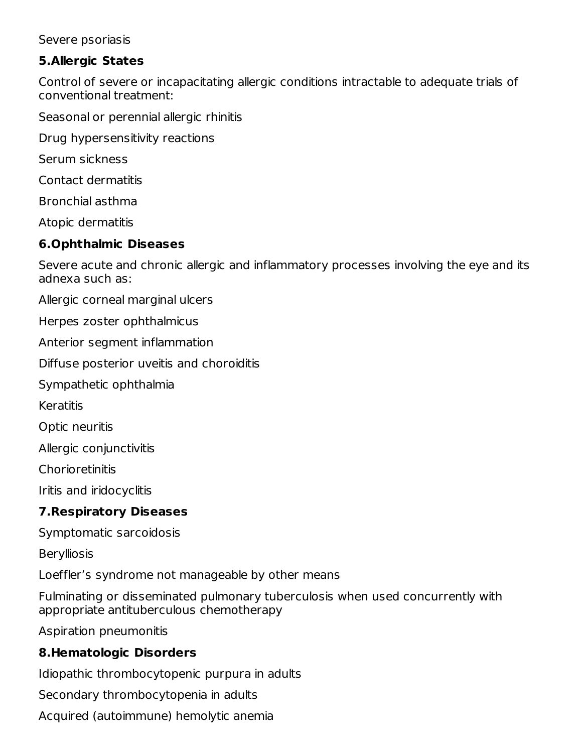Severe psoriasis

#### **5.Allergic States**

Control of severe or incapacitating allergic conditions intractable to adequate trials of conventional treatment:

Seasonal or perennial allergic rhinitis

Drug hypersensitivity reactions

Serum sickness

Contact dermatitis

Bronchial asthma

Atopic dermatitis

# **6.Ophthalmic Diseases**

Severe acute and chronic allergic and inflammatory processes involving the eye and its adnexa such as:

Allergic corneal marginal ulcers

Herpes zoster ophthalmicus

Anterior segment inflammation

Diffuse posterior uveitis and choroiditis

Sympathetic ophthalmia

**Keratitis** 

Optic neuritis

Allergic conjunctivitis

Chorioretinitis

Iritis and iridocyclitis

# **7.Respiratory Diseases**

Symptomatic sarcoidosis

**Berylliosis** 

Loeffler's syndrome not manageable by other means

Fulminating or disseminated pulmonary tuberculosis when used concurrently with appropriate antituberculous chemotherapy

Aspiration pneumonitis

# **8.Hematologic Disorders**

Idiopathic thrombocytopenic purpura in adults

Secondary thrombocytopenia in adults

Acquired (autoimmune) hemolytic anemia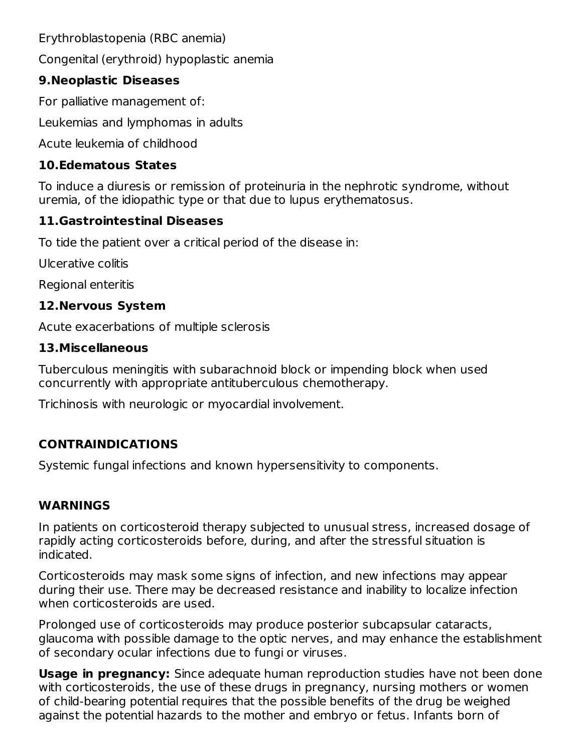Erythroblastopenia (RBC anemia)

Congenital (erythroid) hypoplastic anemia

# **9.Neoplastic Diseases**

For palliative management of:

Leukemias and lymphomas in adults

Acute leukemia of childhood

# **10.Edematous States**

To induce a diuresis or remission of proteinuria in the nephrotic syndrome, without uremia, of the idiopathic type or that due to lupus erythematosus.

### **11.Gastrointestinal Diseases**

To tide the patient over a critical period of the disease in:

Ulcerative colitis

Regional enteritis

# **12.Nervous System**

Acute exacerbations of multiple sclerosis

#### **13.Miscellaneous**

Tuberculous meningitis with subarachnoid block or impending block when used concurrently with appropriate antituberculous chemotherapy.

Trichinosis with neurologic or myocardial involvement.

# **CONTRAINDICATIONS**

Systemic fungal infections and known hypersensitivity to components.

# **WARNINGS**

In patients on corticosteroid therapy subjected to unusual stress, increased dosage of rapidly acting corticosteroids before, during, and after the stressful situation is indicated.

Corticosteroids may mask some signs of infection, and new infections may appear during their use. There may be decreased resistance and inability to localize infection when corticosteroids are used.

Prolonged use of corticosteroids may produce posterior subcapsular cataracts, glaucoma with possible damage to the optic nerves, and may enhance the establishment of secondary ocular infections due to fungi or viruses.

**Usage in pregnancy:** Since adequate human reproduction studies have not been done with corticosteroids, the use of these drugs in pregnancy, nursing mothers or women of child-bearing potential requires that the possible benefits of the drug be weighed against the potential hazards to the mother and embryo or fetus. Infants born of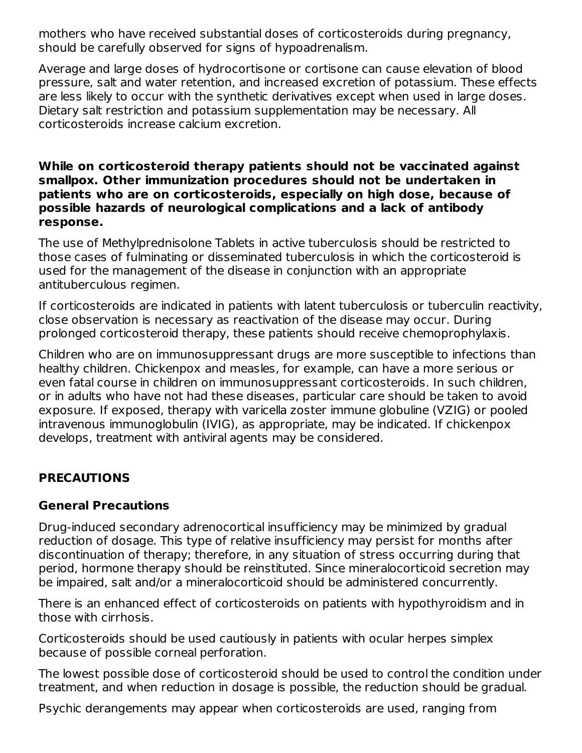mothers who have received substantial doses of corticosteroids during pregnancy, should be carefully observed for signs of hypoadrenalism.

Average and large doses of hydrocortisone or cortisone can cause elevation of blood pressure, salt and water retention, and increased excretion of potassium. These effects are less likely to occur with the synthetic derivatives except when used in large doses. Dietary salt restriction and potassium supplementation may be necessary. All corticosteroids increase calcium excretion.

#### **While on corticosteroid therapy patients should not be vaccinated against smallpox. Other immunization procedures should not be undertaken in patients who are on corticosteroids, especially on high dose, because of possible hazards of neurological complications and a lack of antibody response.**

The use of Methylprednisolone Tablets in active tuberculosis should be restricted to those cases of fulminating or disseminated tuberculosis in which the corticosteroid is used for the management of the disease in conjunction with an appropriate antituberculous regimen.

If corticosteroids are indicated in patients with latent tuberculosis or tuberculin reactivity, close observation is necessary as reactivation of the disease may occur. During prolonged corticosteroid therapy, these patients should receive chemoprophylaxis.

Children who are on immunosuppressant drugs are more susceptible to infections than healthy children. Chickenpox and measles, for example, can have a more serious or even fatal course in children on immunosuppressant corticosteroids. In such children, or in adults who have not had these diseases, particular care should be taken to avoid exposure. If exposed, therapy with varicella zoster immune globuline (VZIG) or pooled intravenous immunoglobulin (IVIG), as appropriate, may be indicated. If chickenpox develops, treatment with antiviral agents may be considered.

### **PRECAUTIONS**

### **General Precautions**

Drug-induced secondary adrenocortical insufficiency may be minimized by gradual reduction of dosage. This type of relative insufficiency may persist for months after discontinuation of therapy; therefore, in any situation of stress occurring during that period, hormone therapy should be reinstituted. Since mineralocorticoid secretion may be impaired, salt and/or a mineralocorticoid should be administered concurrently.

There is an enhanced effect of corticosteroids on patients with hypothyroidism and in those with cirrhosis.

Corticosteroids should be used cautiously in patients with ocular herpes simplex because of possible corneal perforation.

The lowest possible dose of corticosteroid should be used to control the condition under treatment, and when reduction in dosage is possible, the reduction should be gradual.

Psychic derangements may appear when corticosteroids are used, ranging from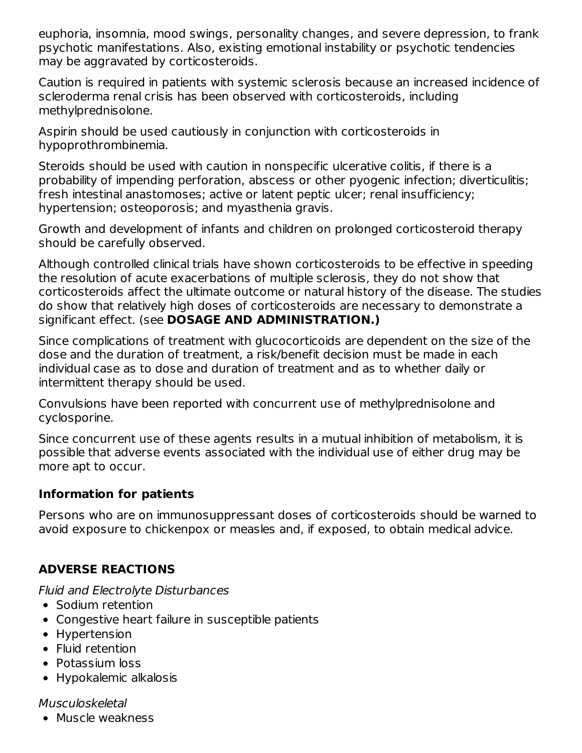euphoria, insomnia, mood swings, personality changes, and severe depression, to frank psychotic manifestations. Also, existing emotional instability or psychotic tendencies may be aggravated by corticosteroids.

Caution is required in patients with systemic sclerosis because an increased incidence of scleroderma renal crisis has been observed with corticosteroids, including methylprednisolone.

Aspirin should be used cautiously in conjunction with corticosteroids in hypoprothrombinemia.

Steroids should be used with caution in nonspecific ulcerative colitis, if there is a probability of impending perforation, abscess or other pyogenic infection; diverticulitis; fresh intestinal anastomoses; active or latent peptic ulcer; renal insufficiency; hypertension; osteoporosis; and myasthenia gravis.

Growth and development of infants and children on prolonged corticosteroid therapy should be carefully observed.

Although controlled clinical trials have shown corticosteroids to be effective in speeding the resolution of acute exacerbations of multiple sclerosis, they do not show that corticosteroids affect the ultimate outcome or natural history of the disease. The studies do show that relatively high doses of corticosteroids are necessary to demonstrate a significant effect. (see **DOSAGE AND ADMINISTRATION.)**

Since complications of treatment with glucocorticoids are dependent on the size of the dose and the duration of treatment, a risk/benefit decision must be made in each individual case as to dose and duration of treatment and as to whether daily or intermittent therapy should be used.

Convulsions have been reported with concurrent use of methylprednisolone and cyclosporine.

Since concurrent use of these agents results in a mutual inhibition of metabolism, it is possible that adverse events associated with the individual use of either drug may be more apt to occur.

#### **Information for patients**

Persons who are on immunosuppressant doses of corticosteroids should be warned to avoid exposure to chickenpox or measles and, if exposed, to obtain medical advice.

# **ADVERSE REACTIONS**

Fluid and Electrolyte Disturbances

- Sodium retention
- Congestive heart failure in susceptible patients
- Hypertension
- Fluid retention
- Potassium loss
- Hypokalemic alkalosis

#### Musculoskeletal

Muscle weakness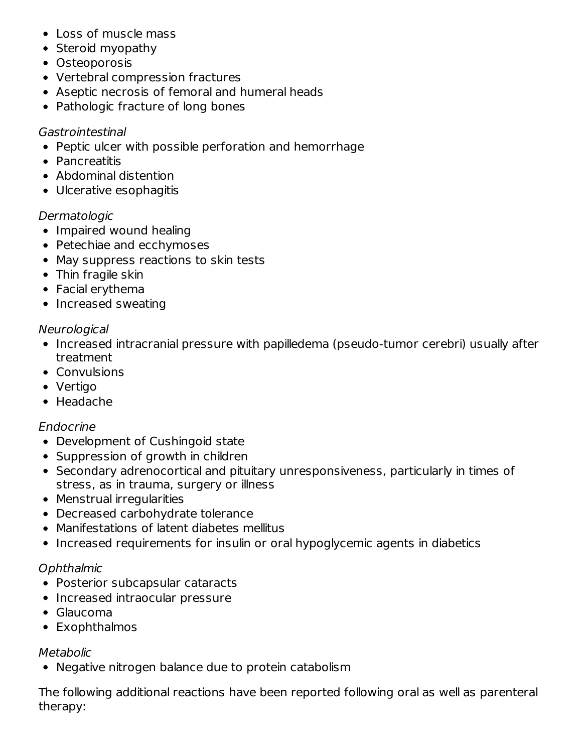- Loss of muscle mass
- Steroid myopathy
- Osteoporosis
- Vertebral compression fractures
- Aseptic necrosis of femoral and humeral heads
- Pathologic fracture of long bones

### Gastrointestinal

- Peptic ulcer with possible perforation and hemorrhage
- Pancreatitis
- Abdominal distention
- Ulcerative esophagitis

# **Dermatologic**

- Impaired wound healing
- Petechiae and ecchymoses
- May suppress reactions to skin tests
- Thin fragile skin
- Facial erythema
- Increased sweating

### **Neurological**

- Increased intracranial pressure with papilledema (pseudo-tumor cerebri) usually after treatment
- Convulsions
- Vertigo
- Headache

### Endocrine

- Development of Cushingoid state
- Suppression of growth in children
- Secondary adrenocortical and pituitary unresponsiveness, particularly in times of stress, as in trauma, surgery or illness
- Menstrual irregularities
- Decreased carbohydrate tolerance
- Manifestations of latent diabetes mellitus
- Increased requirements for insulin or oral hypoglycemic agents in diabetics

### **Ophthalmic**

- Posterior subcapsular cataracts
- Increased intraocular pressure
- Glaucoma
- Exophthalmos

### Metabolic

Negative nitrogen balance due to protein catabolism

The following additional reactions have been reported following oral as well as parenteral therapy: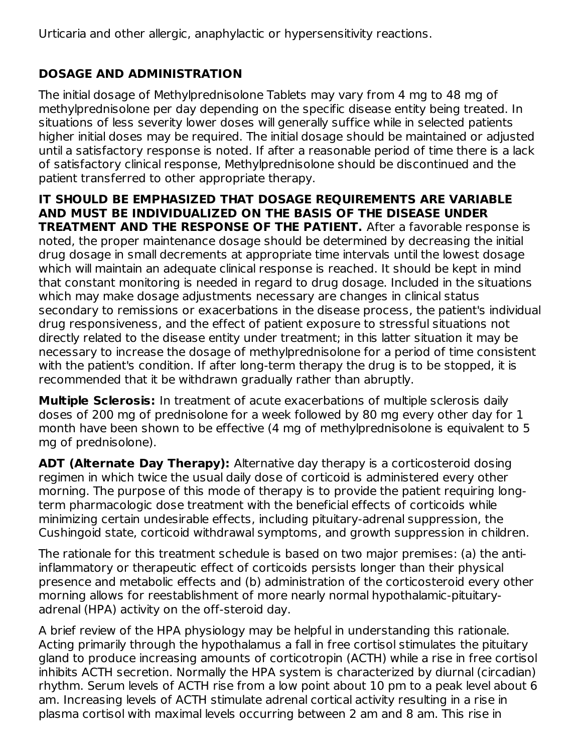Urticaria and other allergic, anaphylactic or hypersensitivity reactions.

# **DOSAGE AND ADMINISTRATION**

The initial dosage of Methylprednisolone Tablets may vary from 4 mg to 48 mg of methylprednisolone per day depending on the specific disease entity being treated. In situations of less severity lower doses will generally suffice while in selected patients higher initial doses may be required. The initial dosage should be maintained or adjusted until a satisfactory response is noted. If after a reasonable period of time there is a lack of satisfactory clinical response, Methylprednisolone should be discontinued and the patient transferred to other appropriate therapy.

**IT SHOULD BE EMPHASIZED THAT DOSAGE REQUIREMENTS ARE VARIABLE AND MUST BE INDIVIDUALIZED ON THE BASIS OF THE DISEASE UNDER TREATMENT AND THE RESPONSE OF THE PATIENT.** After a favorable response is noted, the proper maintenance dosage should be determined by decreasing the initial drug dosage in small decrements at appropriate time intervals until the lowest dosage which will maintain an adequate clinical response is reached. It should be kept in mind that constant monitoring is needed in regard to drug dosage. Included in the situations which may make dosage adjustments necessary are changes in clinical status secondary to remissions or exacerbations in the disease process, the patient's individual drug responsiveness, and the effect of patient exposure to stressful situations not directly related to the disease entity under treatment; in this latter situation it may be necessary to increase the dosage of methylprednisolone for a period of time consistent with the patient's condition. If after long-term therapy the drug is to be stopped, it is recommended that it be withdrawn gradually rather than abruptly.

**Multiple Sclerosis:** In treatment of acute exacerbations of multiple sclerosis daily doses of 200 mg of prednisolone for a week followed by 80 mg every other day for 1 month have been shown to be effective (4 mg of methylprednisolone is equivalent to 5 mg of prednisolone).

**ADT (Alternate Day Therapy):** Alternative day therapy is a corticosteroid dosing regimen in which twice the usual daily dose of corticoid is administered every other morning. The purpose of this mode of therapy is to provide the patient requiring longterm pharmacologic dose treatment with the beneficial effects of corticoids while minimizing certain undesirable effects, including pituitary-adrenal suppression, the Cushingoid state, corticoid withdrawal symptoms, and growth suppression in children.

The rationale for this treatment schedule is based on two major premises: (a) the antiinflammatory or therapeutic effect of corticoids persists longer than their physical presence and metabolic effects and (b) administration of the corticosteroid every other morning allows for reestablishment of more nearly normal hypothalamic-pituitaryadrenal (HPA) activity on the off-steroid day.

A brief review of the HPA physiology may be helpful in understanding this rationale. Acting primarily through the hypothalamus a fall in free cortisol stimulates the pituitary gland to produce increasing amounts of corticotropin (ACTH) while a rise in free cortisol inhibits ACTH secretion. Normally the HPA system is characterized by diurnal (circadian) rhythm. Serum levels of ACTH rise from a low point about 10 pm to a peak level about 6 am. Increasing levels of ACTH stimulate adrenal cortical activity resulting in a rise in plasma cortisol with maximal levels occurring between 2 am and 8 am. This rise in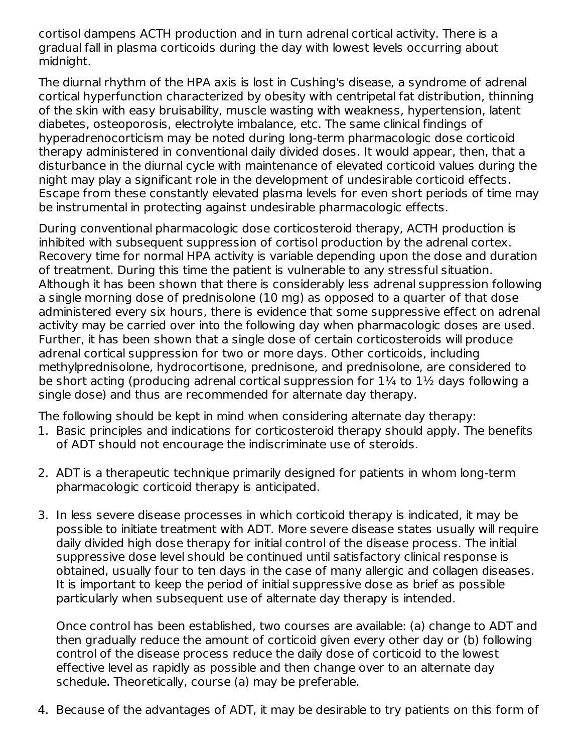cortisol dampens ACTH production and in turn adrenal cortical activity. There is a gradual fall in plasma corticoids during the day with lowest levels occurring about midnight.

The diurnal rhythm of the HPA axis is lost in Cushing's disease, a syndrome of adrenal cortical hyperfunction characterized by obesity with centripetal fat distribution, thinning of the skin with easy bruisability, muscle wasting with weakness, hypertension, latent diabetes, osteoporosis, electrolyte imbalance, etc. The same clinical findings of hyperadrenocorticism may be noted during long-term pharmacologic dose corticoid therapy administered in conventional daily divided doses. It would appear, then, that a disturbance in the diurnal cycle with maintenance of elevated corticoid values during the night may play a significant role in the development of undesirable corticoid effects. Escape from these constantly elevated plasma levels for even short periods of time may be instrumental in protecting against undesirable pharmacologic effects.

During conventional pharmacologic dose corticosteroid therapy, ACTH production is inhibited with subsequent suppression of cortisol production by the adrenal cortex. Recovery time for normal HPA activity is variable depending upon the dose and duration of treatment. During this time the patient is vulnerable to any stressful situation. Although it has been shown that there is considerably less adrenal suppression following a single morning dose of prednisolone (10 mg) as opposed to a quarter of that dose administered every six hours, there is evidence that some suppressive effect on adrenal activity may be carried over into the following day when pharmacologic doses are used. Further, it has been shown that a single dose of certain corticosteroids will produce adrenal cortical suppression for two or more days. Other corticoids, including methylprednisolone, hydrocortisone, prednisone, and prednisolone, are considered to be short acting (producing adrenal cortical suppression for  $1\frac{1}{4}$  to  $1\frac{1}{2}$  days following a single dose) and thus are recommended for alternate day therapy.

The following should be kept in mind when considering alternate day therapy:

- 1. Basic principles and indications for corticosteroid therapy should apply. The benefits of ADT should not encourage the indiscriminate use of steroids.
- 2. ADT is a therapeutic technique primarily designed for patients in whom long-term pharmacologic corticoid therapy is anticipated.
- 3. In less severe disease processes in which corticoid therapy is indicated, it may be possible to initiate treatment with ADT. More severe disease states usually will require daily divided high dose therapy for initial control of the disease process. The initial suppressive dose level should be continued until satisfactory clinical response is obtained, usually four to ten days in the case of many allergic and collagen diseases. It is important to keep the period of initial suppressive dose as brief as possible particularly when subsequent use of alternate day therapy is intended.

Once control has been established, two courses are available: (a) change to ADT and then gradually reduce the amount of corticoid given every other day or (b) following control of the disease process reduce the daily dose of corticoid to the lowest effective level as rapidly as possible and then change over to an alternate day schedule. Theoretically, course (a) may be preferable.

4. Because of the advantages of ADT, it may be desirable to try patients on this form of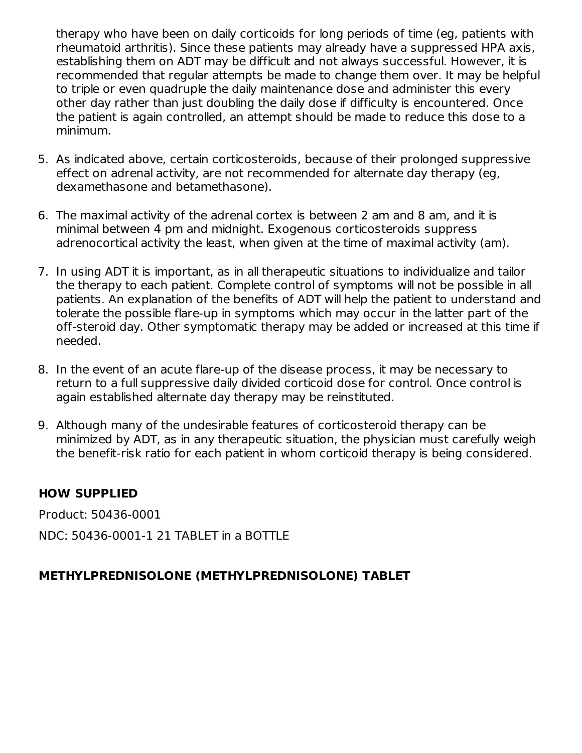therapy who have been on daily corticoids for long periods of time (eg, patients with rheumatoid arthritis). Since these patients may already have a suppressed HPA axis, establishing them on ADT may be difficult and not always successful. However, it is recommended that regular attempts be made to change them over. It may be helpful to triple or even quadruple the daily maintenance dose and administer this every other day rather than just doubling the daily dose if difficulty is encountered. Once the patient is again controlled, an attempt should be made to reduce this dose to a minimum.

- 5. As indicated above, certain corticosteroids, because of their prolonged suppressive effect on adrenal activity, are not recommended for alternate day therapy (eg, dexamethasone and betamethasone).
- 6. The maximal activity of the adrenal cortex is between 2 am and 8 am, and it is minimal between 4 pm and midnight. Exogenous corticosteroids suppress adrenocortical activity the least, when given at the time of maximal activity (am).
- 7. In using ADT it is important, as in all therapeutic situations to individualize and tailor the therapy to each patient. Complete control of symptoms will not be possible in all patients. An explanation of the benefits of ADT will help the patient to understand and tolerate the possible flare-up in symptoms which may occur in the latter part of the off-steroid day. Other symptomatic therapy may be added or increased at this time if needed.
- 8. In the event of an acute flare-up of the disease process, it may be necessary to return to a full suppressive daily divided corticoid dose for control. Once control is again established alternate day therapy may be reinstituted.
- 9. Although many of the undesirable features of corticosteroid therapy can be minimized by ADT, as in any therapeutic situation, the physician must carefully weigh the benefit-risk ratio for each patient in whom corticoid therapy is being considered.

#### **HOW SUPPLIED**

Product: 50436-0001

NDC: 50436-0001-1 21 TABLET in a BOTTLE

#### **METHYLPREDNISOLONE (METHYLPREDNISOLONE) TABLET**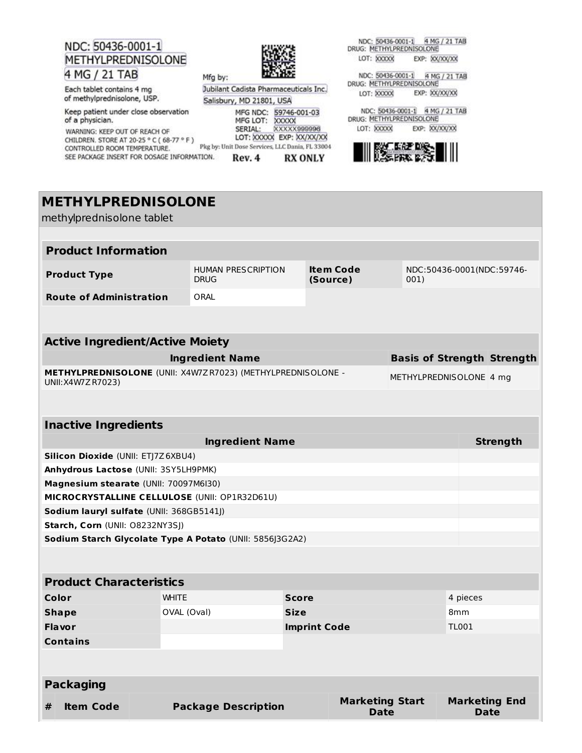| NDC: 50436-0001-1<br>METHYLPREDNISOLONE                                 |                                                      | DRUG: METHYLPREDNISOLONE<br>LOT: XXXXX<br>EXP: XX/XX/XX        |
|-------------------------------------------------------------------------|------------------------------------------------------|----------------------------------------------------------------|
| 4 MG / 21 TAB                                                           | Mfg by:                                              | NDC: 50436-0001-1<br>4 MG / 21 TAB                             |
| Each tablet contains 4 mg                                               | Jubilant Cadista Pharmaceuticals Inc.                | DRUG: METHYLPREDNISOLONE<br>EXP: XX/XX/XX<br>LOT: XXXXX        |
| of methylprednisolone, USP.                                             | Salisbury, MD 21801, USA                             |                                                                |
| Keep patient under close observation<br>of a physician.                 | 59746-001-03<br>MFG NDC:<br>MFG LOT:<br><b>XXXXX</b> | 4 MG / 21 TAB<br>NDC: 50436-0001-1<br>DRUG: METHYLPREDNISOLONE |
| WARNING: KEEP OUT OF REACH OF<br>CHILDREN. STORE AT 20-25 °C (68-77 °F) | SERIAL:<br>XXXXX999996<br>LOT: XXXXX EXP: XX/XX/XX   | EXP: XX/XX/XX<br>LOT: XXXXX                                    |
| CONTROLLED ROOM TEMPERATURE.                                            | Pkg by: Unit Dose Services, LLC Dania, FL 33004      |                                                                |
| SEE PACKAGE INSERT FOR DOSAGE INFORMATION.                              | <b>RX ONLY</b><br>Rev. 4                             |                                                                |

è

| <b>METHYLPREDNISOLONE</b>                                |              |                                                             |                     |                                       |                                   |                 |                                     |
|----------------------------------------------------------|--------------|-------------------------------------------------------------|---------------------|---------------------------------------|-----------------------------------|-----------------|-------------------------------------|
| methylprednisolone tablet                                |              |                                                             |                     |                                       |                                   |                 |                                     |
|                                                          |              |                                                             |                     |                                       |                                   |                 |                                     |
| <b>Product Information</b>                               |              |                                                             |                     |                                       |                                   |                 |                                     |
| <b>Product Type</b>                                      |              | <b>HUMAN PRESCRIPTION</b><br><b>DRUG</b>                    |                     | <b>Item Code</b><br>(Source)          | NDC:50436-0001(NDC:59746-<br>001) |                 |                                     |
| <b>Route of Administration</b>                           |              | ORAI                                                        |                     |                                       |                                   |                 |                                     |
|                                                          |              |                                                             |                     |                                       |                                   |                 |                                     |
| <b>Active Ingredient/Active Moiety</b>                   |              |                                                             |                     |                                       |                                   |                 |                                     |
|                                                          |              | <b>Ingredient Name</b>                                      |                     |                                       |                                   |                 | <b>Basis of Strength Strength</b>   |
|                                                          |              | METHYLPREDNISOLONE (UNII: X4W7ZR7023) (METHYLPREDNISOLONE - |                     |                                       |                                   |                 |                                     |
| UNII: X4W7Z R7023)                                       |              |                                                             |                     |                                       | METHYLPREDNISOLONE 4 mg           |                 |                                     |
|                                                          |              |                                                             |                     |                                       |                                   |                 |                                     |
|                                                          |              |                                                             |                     |                                       |                                   |                 |                                     |
| <b>Inactive Ingredients</b>                              |              |                                                             |                     |                                       |                                   |                 |                                     |
| <b>Ingredient Name</b>                                   |              |                                                             |                     |                                       |                                   | <b>Strength</b> |                                     |
| Silicon Dioxide (UNII: ETJ7Z6XBU4)                       |              |                                                             |                     |                                       |                                   |                 |                                     |
| Anhydrous Lactose (UNII: 3SY5LH9PMK)                     |              |                                                             |                     |                                       |                                   |                 |                                     |
| Magnesium stearate (UNII: 70097M6I30)                    |              |                                                             |                     |                                       |                                   |                 |                                     |
| MICROCRYSTALLINE CELLULOSE (UNII: OP1R32D61U)            |              |                                                             |                     |                                       |                                   |                 |                                     |
| Sodium lauryl sulfate (UNII: 368GB5141J)                 |              |                                                             |                     |                                       |                                   |                 |                                     |
| Starch, Corn (UNII: 08232NY3SJ)                          |              |                                                             |                     |                                       |                                   |                 |                                     |
| Sodium Starch Glycolate Type A Potato (UNII: 5856J3G2A2) |              |                                                             |                     |                                       |                                   |                 |                                     |
|                                                          |              |                                                             |                     |                                       |                                   |                 |                                     |
|                                                          |              |                                                             |                     |                                       |                                   |                 |                                     |
| <b>Product Characteristics</b>                           |              |                                                             |                     |                                       |                                   |                 |                                     |
| Color                                                    | <b>WHITE</b> | <b>Score</b>                                                |                     |                                       | 4 pieces                          |                 |                                     |
| <b>Shape</b>                                             | OVAL (Oval)  | <b>Size</b>                                                 |                     | 8 <sub>mm</sub>                       |                                   |                 |                                     |
| Flavor                                                   |              |                                                             | <b>Imprint Code</b> |                                       |                                   | <b>TL001</b>    |                                     |
| <b>Contains</b>                                          |              |                                                             |                     |                                       |                                   |                 |                                     |
|                                                          |              |                                                             |                     |                                       |                                   |                 |                                     |
|                                                          |              |                                                             |                     |                                       |                                   |                 |                                     |
| <b>Packaging</b>                                         |              |                                                             |                     |                                       |                                   |                 |                                     |
| <b>Item Code</b><br>#                                    |              | <b>Package Description</b>                                  |                     | <b>Marketing Start</b><br><b>Date</b> |                                   |                 | <b>Marketing End</b><br><b>Date</b> |